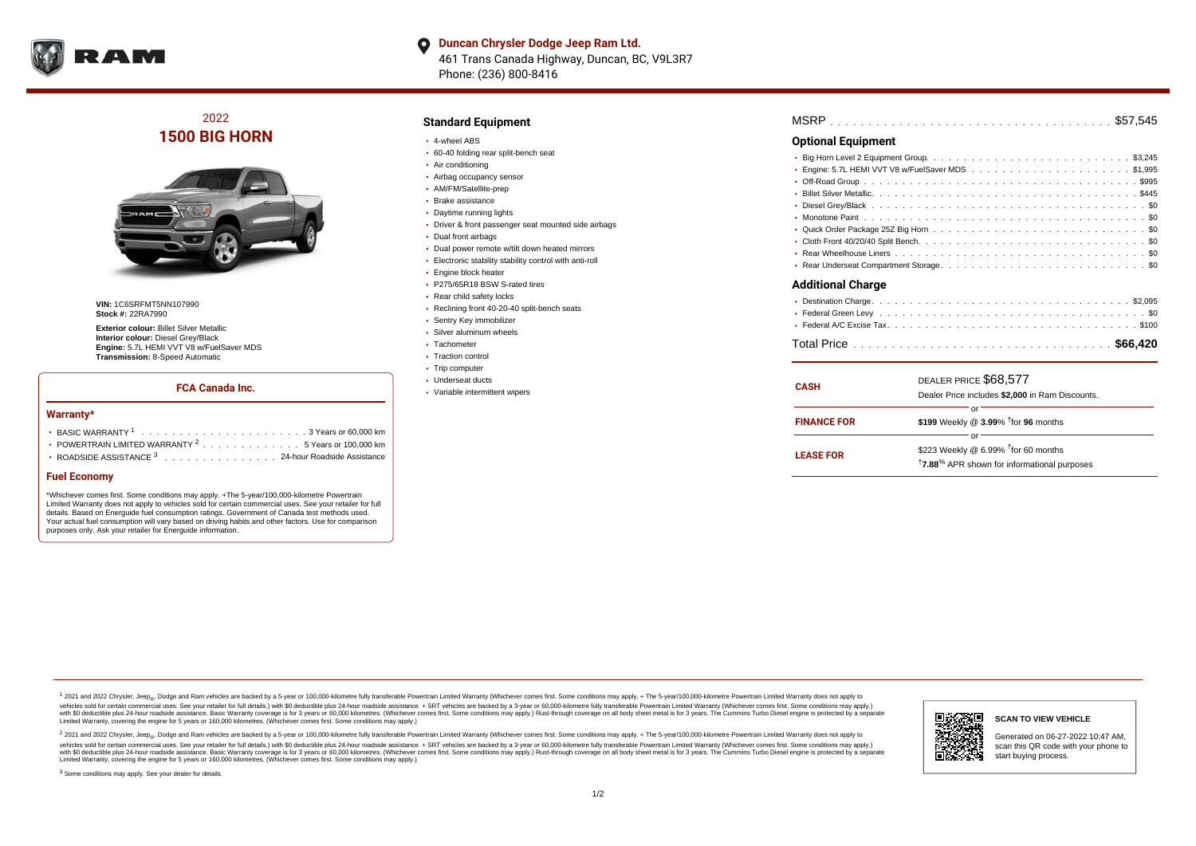

 $\bullet$ **Duncan Chrysler Dodge Jeep Ram Ltd.** 461 Trans Canada Highway, Duncan, BC, V9L3R7 Phone: (236) 800-8416

# 2022 **1500 BIG HORN**



**VIN:** 1C6SRFMT5NN107990 **Stock #:** 22RA7990

**Exterior colour:** Billet Silver Metallic **Interior colour:** Diesel Grey/Black **Engine:** 5.7L HEMI VVT V8 w/FuelSaver MDS **Transmission:** 8-Speed Automatic

## **FCA Canada Inc.**

#### **Warranty\***

| • POWERTRAIN LIMITED WARRANTY $2, \ldots, \ldots, \ldots, \ldots, 5$ Years or 100,000 km |
|------------------------------------------------------------------------------------------|
| • ROADSIDE ASSISTANCE 3 24-hour Roadside Assistance                                      |

#### **Fuel Economy**

\*Whichever comes first. Some conditions may apply. +The 5-year/100,000-kilometre Powertrain Limited Warranty does not apply to vehicles sold for certain commercial uses. See your retailer for full details. Based on Energuide fuel consumption ratings. Government of Canada test methods used. Your actual fuel consumption will vary based on driving habits and other factors. Use for comparison purposes only. Ask your retailer for Energuide information.

### **Standard Equipment**

- 4-wheel ABS
- 60-40 folding rear split-bench seat
- Air conditioning
- Airbag occupancy sensor
- AM/FM/Satellite-prep
- Brake assistance
- Daytime running lights
- Driver & front passenger seat mounted side airbags
- Dual front airbags
- Dual power remote w/tilt down heated mirrors
- Electronic stability stability control with anti-roll
- Engine block heater
- P275/65R18 BSW S-rated tires
- Rear child safety locks
- Reclining front 40-20-40 split-bench seats
- Sentry Key immobilizer
- Silver aluminum wheels
- Tachometer
- Traction control
- Trip computer Underseat ducts
- Variable intermittent wipers

|--|

## **Optional Equipment**

| <b>Additional Charge</b> |  |
|--------------------------|--|
|                          |  |
|                          |  |

| <b>CASH</b>        | DEALER PRICE \$68,577<br>Dealer Price includes \$2,000 in Ram Discounts.                                                  |  |  |  |  |  |  |  |
|--------------------|---------------------------------------------------------------------------------------------------------------------------|--|--|--|--|--|--|--|
| <b>FINANCE FOR</b> | \$199 Weekly @ 3.99% <sup>T</sup> for 96 months                                                                           |  |  |  |  |  |  |  |
| <b>LEASE FOR</b>   | \$223 Weekly @ $6.99\%$ <sup>†</sup> for 60 months<br><sup>†</sup> 7.88 <sup>%</sup> APR shown for informational purposes |  |  |  |  |  |  |  |

<sup>1</sup> 2021 and 2022 Chrysler, Jeep<sub>®</sub>, Dodge and Ram vehicles are backed by a 5-year or 100,000-kilometre fully transferable Powertrain Limited Warranty (Whichever comes first. Some conditions may apply. + The 5-year/100,000 vehicles sold for certain commercial uses. See your retailer for full details.) with \$0 deductible plus 24 hour roadside assistance. + SRT vehicles are backed by a 3-year or 60,000-kilometre fully transferable Powertrain L versus and contract the mean of the contract of the contract with a contract with a contract the contract of the contract of the contract the contract of the contract of the contract of the contract of the contract of the Limited Warranty, covering the engine for 5 years or 160,000 kilometres. (Whichever comes first. Some conditions may apply.)

2 2021 and 2022 Chrysler, Jeep<sub>®</sub>, Dodge and Ram vehicles are backed by a 5-year or 100,000-kilometre fully transferable Powertrain Limited Warranty (Whichever comes first. Some conditions may apply. + The 5-year/100,000-k vehicles sold for certain commercial uses. See your retailer for full details.) with SO deductible plus 24-hour roadside assistance. + SRT vehicles are backed by a 3-year or 60.000-kilometre fully transferable Powertrain. with S0 deductible plus 24-hour roadside assistance. Basic Warranty coverage is for 3 years or 60,000 kilometres. (Whichever comes first. Some conditions may apply.) Rust-through coverage on all body sheet metal is for 3 y



### **SCAN TO VIEW VEHICLE**

Generated on 06-27-2022 10:47 AM, scan this QR code with your phone to start buying process.

<sup>3</sup> Some conditions may apply. See your dealer for details.